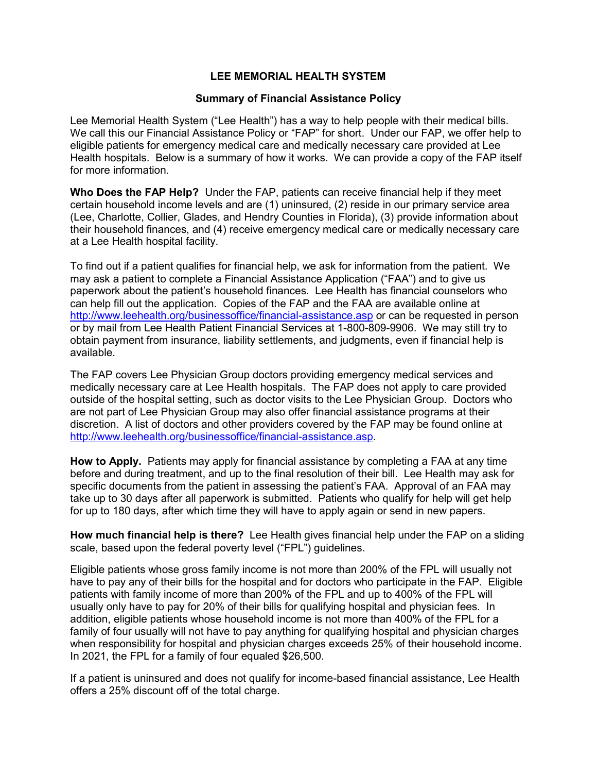## **LEE MEMORIAL HEALTH SYSTEM**

## **Summary of Financial Assistance Policy**

Lee Memorial Health System ("Lee Health") has a way to help people with their medical bills. We call this our Financial Assistance Policy or "FAP" for short. Under our FAP, we offer help to eligible patients for emergency medical care and medically necessary care provided at Lee Health hospitals. Below is a summary of how it works. We can provide a copy of the FAP itself for more information.

**Who Does the FAP Help?** Under the FAP, patients can receive financial help if they meet certain household income levels and are (1) uninsured, (2) reside in our primary service area (Lee, Charlotte, Collier, Glades, and Hendry Counties in Florida), (3) provide information about their household finances, and (4) receive emergency medical care or medically necessary care at a Lee Health hospital facility.

To find out if a patient qualifies for financial help, we ask for information from the patient. We may ask a patient to complete a Financial Assistance Application ("FAA") and to give us paperwork about the patient's household finances. Lee Health has financial counselors who can help fill out the application. Copies of the FAP and the FAA are available online at <http://www.leehealth.org/businessoffice/financial-assistance.asp> or can be requested in person or by mail from Lee Health Patient Financial Services at 1-800-809-9906. We may still try to obtain payment from insurance, liability settlements, and judgments, even if financial help is available.

The FAP covers Lee Physician Group doctors providing emergency medical services and medically necessary care at Lee Health hospitals. The FAP does not apply to care provided outside of the hospital setting, such as doctor visits to the Lee Physician Group. Doctors who are not part of Lee Physician Group may also offer financial assistance programs at their discretion. A list of doctors and other providers covered by the FAP may be found online at [http://www.leehealth.org/businessoffice/financial-assistance.asp.](http://www.leehealth.org/businessoffice/financial-assistance.asp)

**How to Apply.** Patients may apply for financial assistance by completing a FAA at any time before and during treatment, and up to the final resolution of their bill. Lee Health may ask for specific documents from the patient in assessing the patient's FAA. Approval of an FAA may take up to 30 days after all paperwork is submitted. Patients who qualify for help will get help for up to 180 days, after which time they will have to apply again or send in new papers.

**How much financial help is there?** Lee Health gives financial help under the FAP on a sliding scale, based upon the federal poverty level ("FPL") guidelines.

Eligible patients whose gross family income is not more than 200% of the FPL will usually not have to pay any of their bills for the hospital and for doctors who participate in the FAP. Eligible patients with family income of more than 200% of the FPL and up to 400% of the FPL will usually only have to pay for 20% of their bills for qualifying hospital and physician fees. In addition, eligible patients whose household income is not more than 400% of the FPL for a family of four usually will not have to pay anything for qualifying hospital and physician charges when responsibility for hospital and physician charges exceeds 25% of their household income. In 2021, the FPL for a family of four equaled \$26,500.

If a patient is uninsured and does not qualify for income-based financial assistance, Lee Health offers a 25% discount off of the total charge.